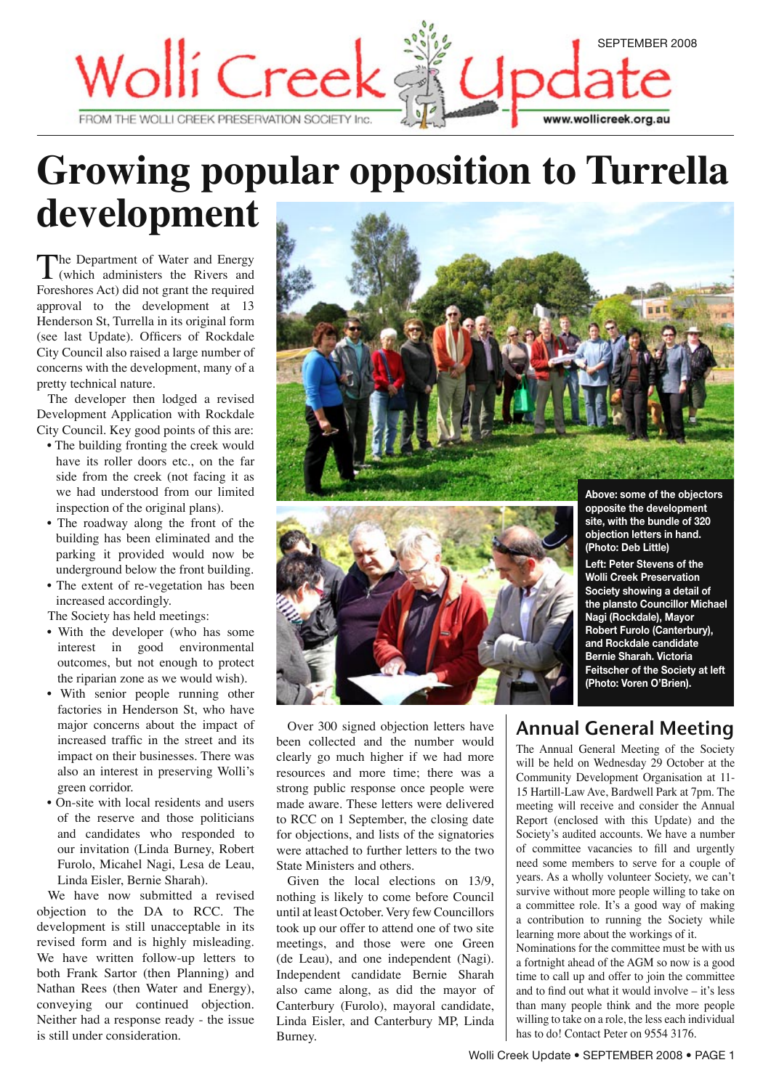

## **Growing popular opposition to Turrella development**

The Department of Water and Energy<br>
(which administers the Rivers and<br>
Encephance Act) did not creat the neguined Foreshores Act) did not grant the required approval to the development at 13 Henderson St, Turrella in its original form (see last Update). Officers of Rockdale City Council also raised a large number of concerns with the development, many of a pretty technical nature.

The developer then lodged a revised Development Application with Rockdale City Council. Key good points of this are:

- The building fronting the creek would have its roller doors etc., on the far side from the creek (not facing it as we had understood from our limited inspection of the original plans).
- The roadway along the front of the building has been eliminated and the parking it provided would now be underground below the front building.
- The extent of re-vegetation has been increased accordingly.
- The Society has held meetings:
- With the developer (who has some interest in good environmental outcomes, but not enough to protect the riparian zone as we would wish).
- With senior people running other factories in Henderson St, who have major concerns about the impact of increased traffic in the street and its impact on their businesses. There was also an interest in preserving Wolli's green corridor.
- On-site with local residents and users of the reserve and those politicians and candidates who responded to our invitation (Linda Burney, Robert Furolo, Micahel Nagi, Lesa de Leau, Linda Eisler, Bernie Sharah).

We have now submitted a revised objection to the DA to RCC. The development is still unacceptable in its revised form and is highly misleading. We have written follow-up letters to both Frank Sartor (then Planning) and Nathan Rees (then Water and Energy), conveying our continued objection. Neither had a response ready - the issue is still under consideration.





**Above: some of the objectors opposite the development site, with the bundle of 320 objection letters in hand. (Photo: Deb Little)**

**Left: Peter Stevens of the Wolli Creek Preservation Society showing a detail of the plansto Councillor Michael Nagi (Rockdale), Mayor Robert Furolo (Canterbury), and Rockdale candidate Bernie Sharah. Victoria Feitscher of the Society at left (Photo: Voren O'Brien).**

Over 300 signed objection letters have been collected and the number would clearly go much higher if we had more resources and more time; there was a strong public response once people were made aware. These letters were delivered to RCC on 1 September, the closing date for objections, and lists of the signatories were attached to further letters to the two State Ministers and others.

Given the local elections on 13/9, nothing is likely to come before Council until at least October. Very few Councillors took up our offer to attend one of two site meetings, and those were one Green (de Leau), and one independent (Nagi). Independent candidate Bernie Sharah also came along, as did the mayor of Canterbury (Furolo), mayoral candidate, Linda Eisler, and Canterbury MP, Linda Burney.

### Annual General Meeting

The Annual General Meeting of the Society will be held on Wednesday 29 October at the Community Development Organisation at 11- 15 Hartill-Law Ave, Bardwell Park at 7pm. The meeting will receive and consider the Annual Report (enclosed with this Update) and the Society's audited accounts. We have a number of committee vacancies to fill and urgently need some members to serve for a couple of years. As a wholly volunteer Society, we can't survive without more people willing to take on a committee role. It's a good way of making a contribution to running the Society while learning more about the workings of it.

Nominations for the committee must be with us a fortnight ahead of the AGM so now is a good time to call up and offer to join the committee and to find out what it would involve – it's less than many people think and the more people willing to take on a role, the less each individual has to do! Contact Peter on 9554 3176.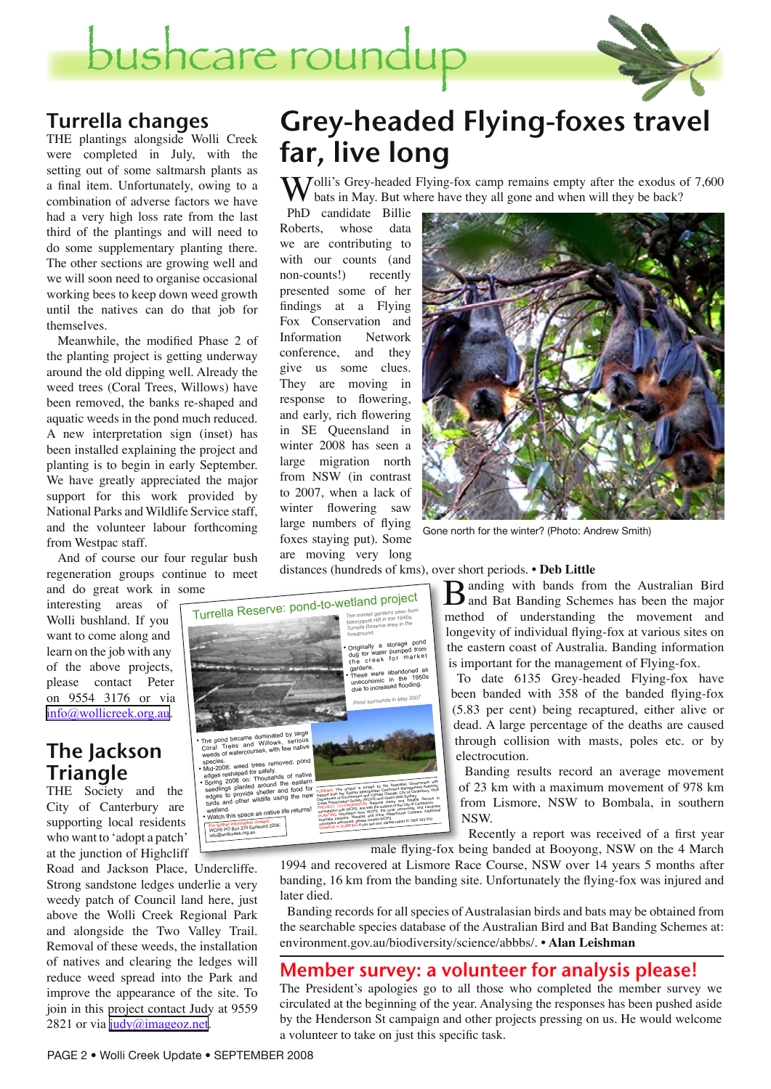bushcare roundu



### **Turrella changes**

THE plantings alongside Wolli Creek were completed in July, with the setting out of some saltmarsh plants as a final item. Unfortunately, owing to a combination of adverse factors we have had a very high loss rate from the last third of the plantings and will need to do some supplementary planting there. The other sections are growing well and we will soon need to organise occasional working bees to keep down weed growth until the natives can do that job for themselves

Meanwhile, the modified Phase 2 of the planting project is getting underway around the old dipping well. Already the weed trees (Coral Trees, Willows) have been removed, the banks re-shaped and aquatic weeds in the pond much reduced. A new interpretation sign (inset) has been installed explaining the project and planting is to begin in early September. We have greatly appreciated the major support for this work provided by National Parks and Wildlife Service staff, and the volunteer labour forthcoming from Westpac staff.

And of course our four regular bush regeneration groups continue to meet and do great work in some

interesting areas of Wolli bushland. If you want to come along and learn on the job with any of the above projects, please contact Peter on 9554 3176 or via info@wollicreek.org.au.

#### The Jackson **Triangle**

THE Society and the City of Canterbury are supporting local residents who want to 'adopt a patch' at the junction of Highcliff

Road and Jackson Place, Undercliffe. Strong sandstone ledges underlie a very weedy patch of Council land here, just above the Wolli Creek Regional Park and alongside the Two Valley Trail. Removal of these weeds, the installation of natives and clearing the ledges will reduce weed spread into the Park and improve the appearance of the site. To join in this project contact Judy at 9559 2821 or via  $\text{judy}(a)$  imageoz.net.

## **Grey-headed Flying-foxes travel** far, live long

 $\sum$  Olli's Grey-headed Flying-fox camp remains empty after the exodus of 7,600 bats in May. But where have they all gone and when will they be back?

PhD candidate Billie Roberts, whose data we are contributing to with our counts (and non-counts!) recently presented some of her findings at a Flying Fox Conservation and Information Network conference, and they give us some clues. They are moving in response to flowering, and early, rich flowering in SE Queensland in winter 2008 has seen a large migration north from NSW (in contrast to 2007, when a lack of winter flowering saw large numbers of flying foxes staying put). Some are moving very long



Gone north for the winter? (Photo: Andrew Smith)

distances (hundreds of kms), over short periods. • Deb Little



anding with bands from the Australian Bird Mand Bat Banding Schemes has been the major method of understanding the movement and longevity of individual flying-fox at various sites on the eastern coast of Australia. Banding information is important for the management of Flying-fox.

To date 6135 Grey-headed Flying-fox have been banded with 358 of the banded flying-fox (5.83 per cent) being recaptured, either alive or dead. A large percentage of the deaths are caused through collision with masts, poles etc. or by electrocution.

Banding results record an average movement of 23 km with a maximum movement of 978 km from Lismore. NSW to Bombala, in southern NSW.

Recently a report was received of a first year

male flying-fox being banded at Booyong, NSW on the 4 March 1994 and recovered at Lismore Race Course, NSW over 14 years 5 months after banding, 16 km from the banding site. Unfortunately the flying-fox was injured and later died.

Banding records for all species of Australasian birds and bats may be obtained from the searchable species database of the Australian Bird and Bat Banding Schemes at: environment.gov.au/biodiversity/science/abbbs/. • Alan Leishman

#### Member survey: a volunteer for analysis please!

The President's apologies go to all those who completed the member survey we circulated at the beginning of the year. Analysing the responses has been pushed aside by the Henderson St campaign and other projects pressing on us. He would welcome a volunteer to take on just this specific task.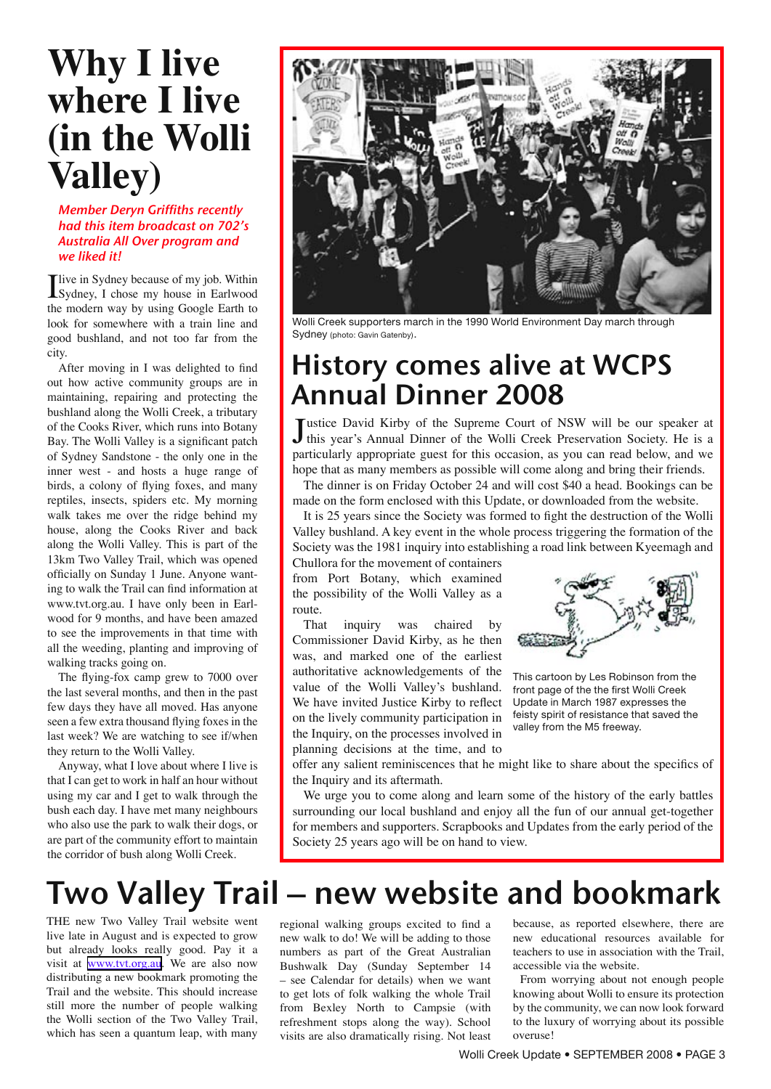## **Why I live where I live (in the Wolli Valley)**

Member Deryn Griffiths recently had this item broadcast on 702's Australia All Over program and we liked it!

I live in Sydney because of my job. Within<br>Sydney, I chose my house in Earlwood<br>the medant way by wine Google Farth to the modern way by using Google Earth to look for somewhere with a train line and good bushland, and not too far from the city.

After moving in I was delighted to find out how active community groups are in maintaining, repairing and protecting the bushland along the Wolli Creek, a tributary of the Cooks River, which runs into Botany Bay. The Wolli Valley is a significant patch of Sydney Sandstone - the only one in the inner west - and hosts a huge range of birds, a colony of flying foxes, and many reptiles, insects, spiders etc. My morning walk takes me over the ridge behind my house, along the Cooks River and back along the Wolli Valley. This is part of the 13km Two Valley Trail, which was opened officially on Sunday 1 June. Anyone wanting to walk the Trail can find information at www.tvt.org.au. I have only been in Earlwood for 9 months, and have been amazed to see the improvements in that time with all the weeding, planting and improving of walking tracks going on.

The flying-fox camp grew to 7000 over the last several months, and then in the past few days they have all moved. Has anyone seen a few extra thousand flying foxes in the last week? We are watching to see if/when they return to the Wolli Valley.

Anyway, what I love about where I live is that I can get to work in half an hour without using my car and I get to walk through the bush each day. I have met many neighbours who also use the park to walk their dogs, or are part of the community effort to maintain the corridor of bush along Wolli Creek.



Wolli Creek supporters march in the 1990 World Environment Day march through Sydney (photo: Gavin Gatenby).

## History comes alive at WCPS Annual Dinner 2008

Justice David Kirby of the Supreme Court of NSW will be our speaker at this year's Annual Dinner of the Wolli Creek Preservation Society. He is a negatively appropriate guest for this occasion, as you can read below and we this year's Annual Dinner of the Wolli Creek Preservation Society. He is a particularly appropriate guest for this occasion, as you can read below, and we hope that as many members as possible will come along and bring their friends.

The dinner is on Friday October 24 and will cost \$40 a head. Bookings can be made on the form enclosed with this Update, or downloaded from the website.

It is 25 years since the Society was formed to fight the destruction of the Wolli Valley bushland. A key event in the whole process triggering the formation of the Society was the 1981 inquiry into establishing a road link between Kyeemagh and

Chullora for the movement of containers from Port Botany, which examined the possibility of the Wolli Valley as a route.

That inquiry was chaired by Commissioner David Kirby, as he then was, and marked one of the earliest authoritative acknowledgements of the value of the Wolli Valley's bushland. We have invited Justice Kirby to reflect on the lively community participation in the Inquiry, on the processes involved in planning decisions at the time, and to



This cartoon by Les Robinson from the front page of the the first Wolli Creek Update in March 1987 expresses the feisty spirit of resistance that saved the valley from the M5 freeway.

offer any salient reminiscences that he might like to share about the specifics of the Inquiry and its aftermath.

We urge you to come along and learn some of the history of the early battles surrounding our local bushland and enjoy all the fun of our annual get-together for members and supporters. Scrapbooks and Updates from the early period of the Society 25 years ago will be on hand to view.

## Two Valley Trail – new website and bookmark

THE new Two Valley Trail website went live late in August and is expected to grow but already looks really good. Pay it a visit at [www.tvt.org.au](http://www.tvt.org.au). We are also now distributing a new bookmark promoting the Trail and the website. This should increase still more the number of people walking the Wolli section of the Two Valley Trail, which has seen a quantum leap, with many

regional walking groups excited to find a new walk to do! We will be adding to those numbers as part of the Great Australian Bushwalk Day (Sunday September 14 – see Calendar for details) when we want to get lots of folk walking the whole Trail from Bexley North to Campsie (with refreshment stops along the way). School visits are also dramatically rising. Not least

because, as reported elsewhere, there are new educational resources available for teachers to use in association with the Trail, accessible via the website.

From worrying about not enough people knowing about Wolli to ensure its protection by the community, we can now look forward to the luxury of worrying about its possible overuse!